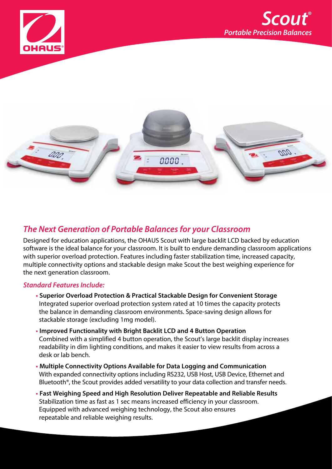





#### **The Next Generation of Portable Balances for your Classroom**

Designed for education applications, the OHAUS Scout with large backlit LCD backed by education software is the ideal balance for your classroom. It is built to endure demanding classroom applications with superior overload protection. Features including faster stabilization time, increased capacity, multiple connectivity options and stackable design make Scout the best weighing experience for the next generation classroom.

#### **Standard Features Include:**

- **• Superior Overload Protection & Practical Stackable Design for Convenient Storage** Integrated superior overload protection system rated at 10 times the capacity protects the balance in demanding classroom environments. Space-saving design allows for stackable storage (excluding 1mg model).
- **• Improved Functionality with Bright Backlit LCD and 4 Button Operation** Combined with a simplified 4 button operation, the Scout's large backlit display increases readability in dim lighting conditions, and makes it easier to view results from across a desk or lab bench.
- **• Multiple Connectivity Options Available for Data Logging and Communication** With expanded connectivity options including RS232, USB Host, USB Device, Ethernet and Bluetooth®, the Scout provides added versatility to your data collection and transfer needs.
- **• Fast Weighing Speed and High Resolution Deliver Repeatable and Reliable Results** Stabilization time as fast as 1 sec means increased efficiency in your classroom. Equipped with advanced weighing technology, the Scout also ensures repeatable and reliable weighing results.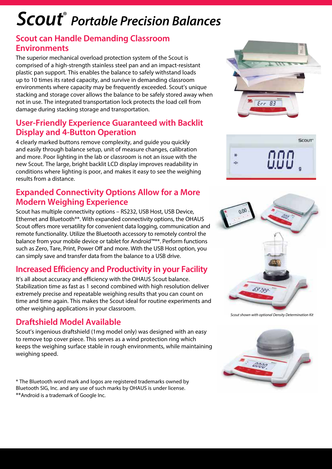# **Scout**® **Portable Precision Balances**

#### **Scout can Handle Demanding Classroom Environments**

The superior mechanical overload protection system of the Scout is comprised of a high-strength stainless steel pan and an impact-resistant plastic pan support. This enables the balance to safely withstand loads up to 10 times its rated capacity, and survive in demanding classroom environments where capacity may be frequently exceeded. Scout's unique stacking and storage cover allows the balance to be safely stored away when not in use. The integrated transportation lock protects the load cell from damage during stacking storage and transportation.

#### **User-Friendly Experience Guaranteed with Backlit Display and 4-Button Operation**

4 clearly marked buttons remove complexity, and guide you quickly and easily through balance setup, unit of measure changes, calibration and more. Poor lighting in the lab or classroom is not an issue with the new Scout. The large, bright backlit LCD display improves readability in conditions where lighting is poor, and makes it easy to see the weighing results from a distance.

### **Expanded Connectivity Options Allow for a More Modern Weighing Experience**

Scout has multiple connectivity options – RS232, USB Host, USB Device, Ethernet and Bluetooth®\*. With expanded connectivity options, the OHAUS Scout offers more versatility for convenient data logging, communication and remote functionality. Utilize the Bluetooth accessory to remotely control the balance from your mobile device or tablet for Android™\*\*. Perform functions such as Zero, Tare, Print, Power Off and more. With the USB Host option, you can simply save and transfer data from the balance to a USB drive.

## **Increased Efficiency and Productivity in your Facility**

It's all about accuracy and efficiency with the OHAUS Scout balance. Stabilization time as fast as 1 second combined with high resolution deliver extremely precise and repeatable weighing results that you can count on time and time again. This makes the Scout ideal for routine experiments and other weighing applications in your classroom.

#### **Draftshield Model Available**

Scout's ingenious draftshield (1mg model only) was designed with an easy to remove top cover piece. This serves as a wind protection ring which keeps the weighing surface stable in rough environments, while maintaining weighing speed.

\* The Bluetooth word mark and logos are registered trademarks owned by Bluetooth SIG, Inc. and any use of such marks by OHAUS is under license. \*\*Android is a trademark of Google Inc.







*Scout shown with optional Density Determination Kit*

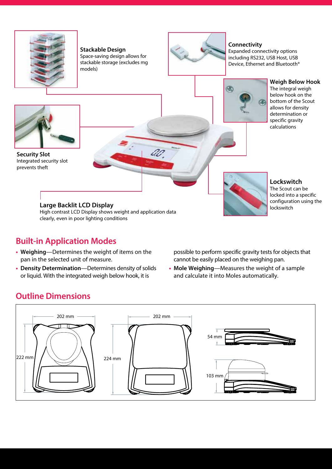

**Stackable Design** Space-saving design allows for stackable storage (excludes mg models)



**Connectivity**

Expanded connectivity options including RS232, USB Host, USB Device, Ethernet and Bluetooth®



**Weigh Below Hook** The integral weigh below hook on the bottom of the Scout allows for density determination or specific gravity calculations



**Security Slot** Integrated security slot prevents theft



High contrast LCD Display shows weight and application data clearly, even in poor lighting conditions

## **Built-in Application Modes**

- **Weighing**—Determines the weight of items on the pan in the selected unit of measure.
- **Density Determination**—Determines density of solids or liquid. With the integrated weigh below hook, it is

**Lockswitch** The Scout can be locked into a specific configuration using the lockswitch

possible to perform specific gravity tests for objects that cannot be easily placed on the weighing pan.

**• Mole Weighing**—Measures the weight of a sample and calculate it into Moles automatically.

## **Outline Dimensions**